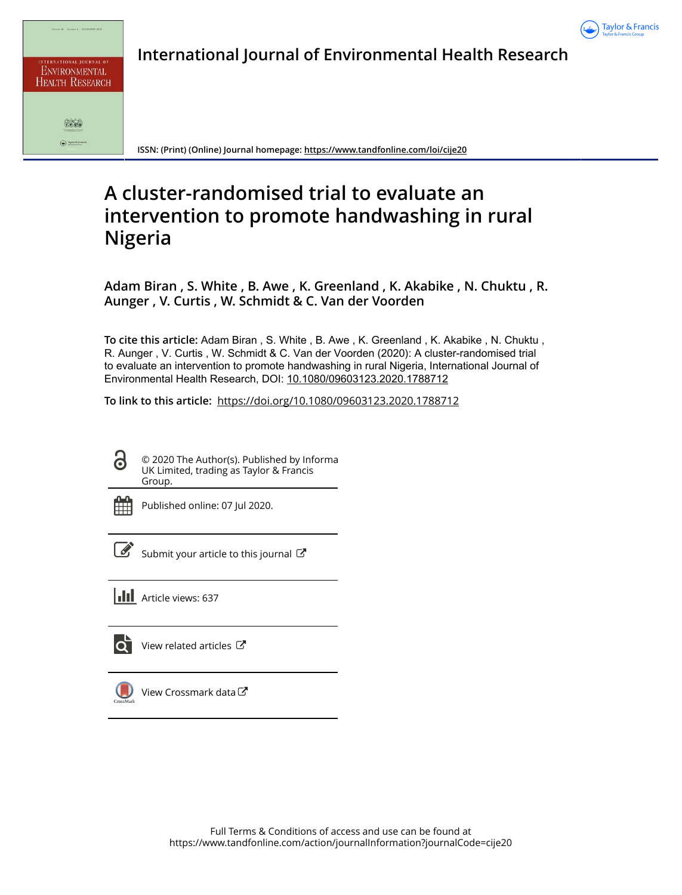

| INTERNATIONAL JOURNAL OF<br><b>ENVIRONMENTAL</b><br><b>HEALTH RESEARCH</b> |
|----------------------------------------------------------------------------|
|                                                                            |
| Taylor & Francis                                                           |

**International Journal of Environmental Health Research**

**ISSN: (Print) (Online) Journal homepage:<https://www.tandfonline.com/loi/cije20>**

# **A cluster-randomised trial to evaluate an intervention to promote handwashing in rural Nigeria**

**Adam Biran , S. White , B. Awe , K. Greenland , K. Akabike , N. Chuktu , R. Aunger , V. Curtis , W. Schmidt & C. Van der Voorden**

**To cite this article:** Adam Biran , S. White , B. Awe , K. Greenland , K. Akabike , N. Chuktu , R. Aunger , V. Curtis , W. Schmidt & C. Van der Voorden (2020): A cluster-randomised trial to evaluate an intervention to promote handwashing in rural Nigeria, International Journal of Environmental Health Research, DOI: [10.1080/09603123.2020.1788712](https://www.tandfonline.com/action/showCitFormats?doi=10.1080/09603123.2020.1788712)

**To link to this article:** <https://doi.org/10.1080/09603123.2020.1788712>

© 2020 The Author(s). Published by Informa UK Limited, trading as Taylor & Francis Group.

ര

Published online: 07 Jul 2020.

[Submit your article to this journal](https://www.tandfonline.com/action/authorSubmission?journalCode=cije20&show=instructions)  $\mathbb{Z}$ 

**Article views: 637** 



 $\overline{\mathbf{C}}$  [View related articles](https://www.tandfonline.com/doi/mlt/10.1080/09603123.2020.1788712)  $\mathbf{C}$ 



[View Crossmark data](http://crossmark.crossref.org/dialog/?doi=10.1080/09603123.2020.1788712&domain=pdf&date_stamp=2020-07-07) $\sigma$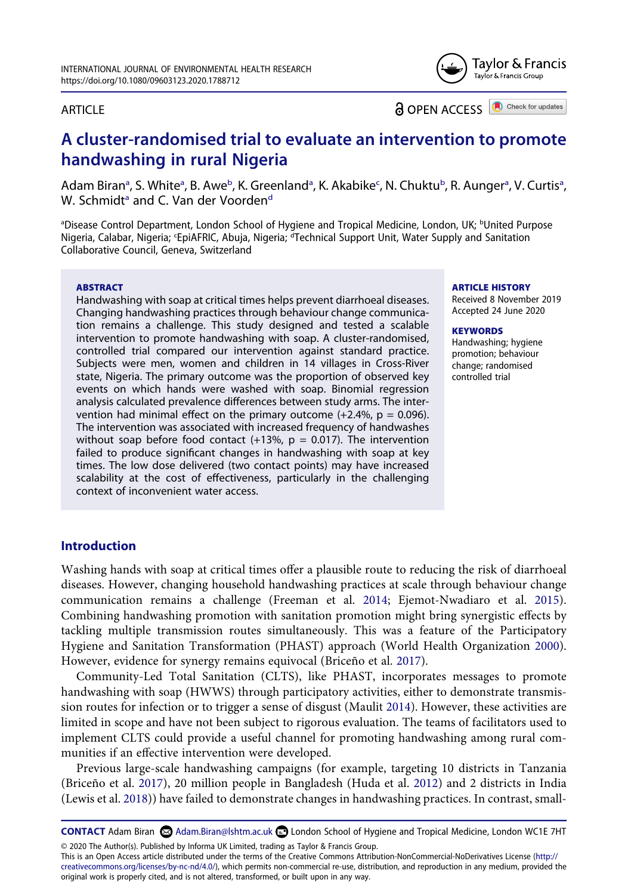# Taylor & Francis Taylor & Francis Group

# ARTICLE

Check for updates **a** OPEN ACCESS

# **A cluster-randomised trial to evaluate an intervention to promote handwashing in rural Nigeria**

Ad[a](#page-1-0)m Biran<sup>a</sup>, S. White<sup>a</sup>, B. Awe<sup>[b](#page-1-0)</sup>, K. Greenland<sup>a</sup>, K. Akabike<sup>c</sup>, N. Chuktu<sup>b</sup>, R. Aunger<sup>a</sup>, V. Curtis<sup>a</sup>, W. Schmi[d](#page-1-1)t<sup>a</sup> and C. Van der Voorden<sup>d</sup>

<span id="page-1-1"></span><span id="page-1-0"></span><sup>a</sup>Disease Control Department, London School of Hygiene and Tropical Medicine, London, UK; <sup>b</sup>United Purpose Nigeria, Calabar, Nigeria; 'EpiAFRIC, Abuja, Nigeria; <sup>d</sup>Technical Support Unit, Water Supply and Sanitation Collaborative Council, Geneva, Switzerland

#### **ABSTRACT**

Handwashing with soap at critical times helps prevent diarrhoeal diseases. Changing handwashing practices through behaviour change communication remains a challenge. This study designed and tested a scalable intervention to promote handwashing with soap. A cluster-randomised, controlled trial compared our intervention against standard practice. Subjects were men, women and children in 14 villages in Cross-River state, Nigeria. The primary outcome was the proportion of observed key events on which hands were washed with soap. Binomial regression analysis calculated prevalence differences between study arms. The intervention had minimal effect on the primary outcome  $(+2.4\% , p = 0.096)$ . The intervention was associated with increased frequency of handwashes without soap before food contact (+13%,  $p = 0.017$ ). The intervention failed to produce significant changes in handwashing with soap at key times. The low dose delivered (two contact points) may have increased scalability at the cost of effectiveness, particularly in the challenging context of inconvenient water access.

#### **ARTICLE HISTORY**

Received 8 November 2019 Accepted 24 June 2020

#### **KEYWORDS**

Handwashing; hygiene promotion; behaviour change; randomised controlled trial

# **Introduction**

<span id="page-1-3"></span>Washing hands with soap at critical times offer a plausible route to reducing the risk of diarrhoeal diseases. However, changing household handwashing practices at scale through behaviour change communication remains a challenge (Freeman et al. [2014;](#page-15-0) Ejemot-Nwadiaro et al. [2015](#page-15-1)). Combining handwashing promotion with sanitation promotion might bring synergistic effects by tackling multiple transmission routes simultaneously. This was a feature of the Participatory Hygiene and Sanitation Transformation (PHAST) approach (World Health Organization [2000](#page-16-0)). However, evidence for synergy remains equivocal (Briceño et al. [2017\)](#page-15-2).

<span id="page-1-6"></span><span id="page-1-5"></span>Community-Led Total Sanitation (CLTS), like PHAST, incorporates messages to promote handwashing with soap (HWWS) through participatory activities, either to demonstrate transmission routes for infection or to trigger a sense of disgust (Maulit [2014\)](#page-15-3). However, these activities are limited in scope and have not been subject to rigorous evaluation. The teams of facilitators used to implement CLTS could provide a useful channel for promoting handwashing among rural communities if an effective intervention were developed.

<span id="page-1-4"></span><span id="page-1-2"></span>Previous large-scale handwashing campaigns (for example, targeting 10 districts in Tanzania (Briceño et al. [2017](#page-15-2)), 20 million people in Bangladesh (Huda et al. [2012](#page-15-4)) and 2 districts in India (Lewis et al. [2018](#page-15-5))) have failed to demonstrate changes in handwashing practices. In contrast, small-

CONTACT Adam Biran  $\odot$  Adam.Biran@lshtm.ac.uk **D** London School of Hygiene and Tropical Medicine, London WC1E 7HT © 2020 The Author(s). Published by Informa UK Limited, trading as Taylor & Francis Group.

This is an Open Access article distributed under the terms of the Creative Commons Attribution-NonCommercial-NoDerivatives License (http:// creativecommons.org/licenses/by-nc-nd/4.0/), which permits non-commercial re-use, distribution, and reproduction in any medium, provided the original work is properly cited, and is not altered, transformed, or built upon in any way.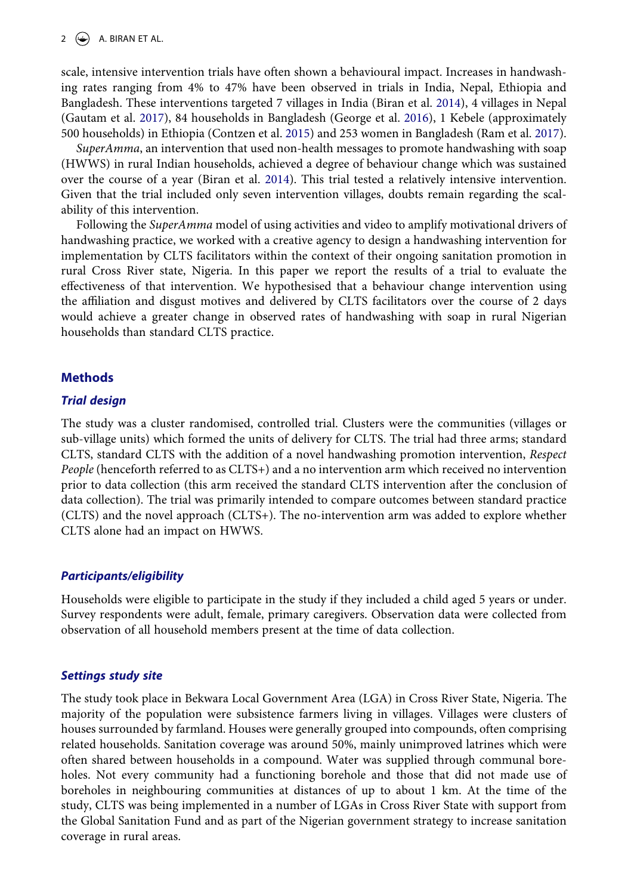<span id="page-2-0"></span>scale, intensive intervention trials have often shown a behavioural impact. Increases in handwashing rates ranging from 4% to 47% have been observed in trials in India, Nepal, Ethiopia and Bangladesh. These interventions targeted 7 villages in India (Biran et al. [2014](#page-15-6)), 4 villages in Nepal (Gautam et al. [2017\)](#page-15-7), 84 households in Bangladesh (George et al. [2016\)](#page-15-8), 1 Kebele (approximately 500 households) in Ethiopia (Contzen et al. [2015\)](#page-15-9) and 253 women in Bangladesh (Ram et al. [2017](#page-15-10)).

<span id="page-2-2"></span><span id="page-2-1"></span>*SuperAmma*, an intervention that used non-health messages to promote handwashing with soap (HWWS) in rural Indian households, achieved a degree of behaviour change which was sustained over the course of a year (Biran et al. [2014](#page-15-11)). This trial tested a relatively intensive intervention. Given that the trial included only seven intervention villages, doubts remain regarding the scalability of this intervention.

Following the *SuperAmma* model of using activities and video to amplify motivational drivers of handwashing practice, we worked with a creative agency to design a handwashing intervention for implementation by CLTS facilitators within the context of their ongoing sanitation promotion in rural Cross River state, Nigeria. In this paper we report the results of a trial to evaluate the effectiveness of that intervention. We hypothesised that a behaviour change intervention using the affiliation and disgust motives and delivered by CLTS facilitators over the course of 2 days would achieve a greater change in observed rates of handwashing with soap in rural Nigerian households than standard CLTS practice.

# **Methods**

# *Trial design*

The study was a cluster randomised, controlled trial. Clusters were the communities (villages or sub-village units) which formed the units of delivery for CLTS. The trial had three arms; standard CLTS, standard CLTS with the addition of a novel handwashing promotion intervention, *Respect People* (henceforth referred to as CLTS+) and a no intervention arm which received no intervention prior to data collection (this arm received the standard CLTS intervention after the conclusion of data collection). The trial was primarily intended to compare outcomes between standard practice (CLTS) and the novel approach (CLTS+). The no-intervention arm was added to explore whether CLTS alone had an impact on HWWS.

# *Participants/eligibility*

Households were eligible to participate in the study if they included a child aged 5 years or under. Survey respondents were adult, female, primary caregivers. Observation data were collected from observation of all household members present at the time of data collection.

# *Settings study site*

The study took place in Bekwara Local Government Area (LGA) in Cross River State, Nigeria. The majority of the population were subsistence farmers living in villages. Villages were clusters of houses surrounded by farmland. Houses were generally grouped into compounds, often comprising related households. Sanitation coverage was around 50%, mainly unimproved latrines which were often shared between households in a compound. Water was supplied through communal boreholes. Not every community had a functioning borehole and those that did not made use of boreholes in neighbouring communities at distances of up to about 1 km. At the time of the study, CLTS was being implemented in a number of LGAs in Cross River State with support from the Global Sanitation Fund and as part of the Nigerian government strategy to increase sanitation coverage in rural areas.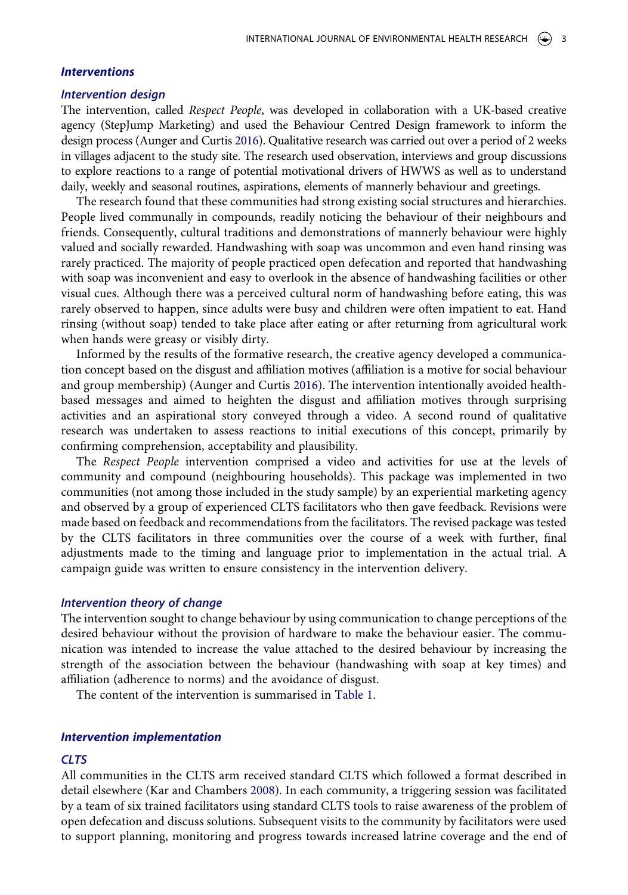#### *Interventions*

#### *Intervention design*

The intervention, called *Respect People*, was developed in collaboration with a UK-based creative agency (StepJump Marketing) and used the Behaviour Centred Design framework to inform the design process (Aunger and Curtis [2016](#page-15-12)). Qualitative research was carried out over a period of 2 weeks in villages adjacent to the study site. The research used observation, interviews and group discussions to explore reactions to a range of potential motivational drivers of HWWS as well as to understand daily, weekly and seasonal routines, aspirations, elements of mannerly behaviour and greetings.

The research found that these communities had strong existing social structures and hierarchies. People lived communally in compounds, readily noticing the behaviour of their neighbours and friends. Consequently, cultural traditions and demonstrations of mannerly behaviour were highly valued and socially rewarded. Handwashing with soap was uncommon and even hand rinsing was rarely practiced. The majority of people practiced open defecation and reported that handwashing with soap was inconvenient and easy to overlook in the absence of handwashing facilities or other visual cues. Although there was a perceived cultural norm of handwashing before eating, this was rarely observed to happen, since adults were busy and children were often impatient to eat. Hand rinsing (without soap) tended to take place after eating or after returning from agricultural work when hands were greasy or visibly dirty.

<span id="page-3-0"></span>Informed by the results of the formative research, the creative agency developed a communication concept based on the disgust and affiliation motives (affiliation is a motive for social behaviour and group membership) (Aunger and Curtis [2016\)](#page-15-12). The intervention intentionally avoided healthbased messages and aimed to heighten the disgust and affiliation motives through surprising activities and an aspirational story conveyed through a video. A second round of qualitative research was undertaken to assess reactions to initial executions of this concept, primarily by confirming comprehension, acceptability and plausibility.

The *Respect People* intervention comprised a video and activities for use at the levels of community and compound (neighbouring households). This package was implemented in two communities (not among those included in the study sample) by an experiential marketing agency and observed by a group of experienced CLTS facilitators who then gave feedback. Revisions were made based on feedback and recommendations from the facilitators. The revised package was tested by the CLTS facilitators in three communities over the course of a week with further, final adjustments made to the timing and language prior to implementation in the actual trial. A campaign guide was written to ensure consistency in the intervention delivery.

#### *Intervention theory of change*

The intervention sought to change behaviour by using communication to change perceptions of the desired behaviour without the provision of hardware to make the behaviour easier. The communication was intended to increase the value attached to the desired behaviour by increasing the strength of the association between the behaviour (handwashing with soap at key times) and affiliation (adherence to norms) and the avoidance of disgust.

The content of the intervention is summarised in [Table 1](#page-4-0).

#### *Intervention implementation*

#### *CLTS*

<span id="page-3-1"></span>All communities in the CLTS arm received standard CLTS which followed a format described in detail elsewhere (Kar and Chambers [2008\)](#page-15-13). In each community, a triggering session was facilitated by a team of six trained facilitators using standard CLTS tools to raise awareness of the problem of open defecation and discuss solutions. Subsequent visits to the community by facilitators were used to support planning, monitoring and progress towards increased latrine coverage and the end of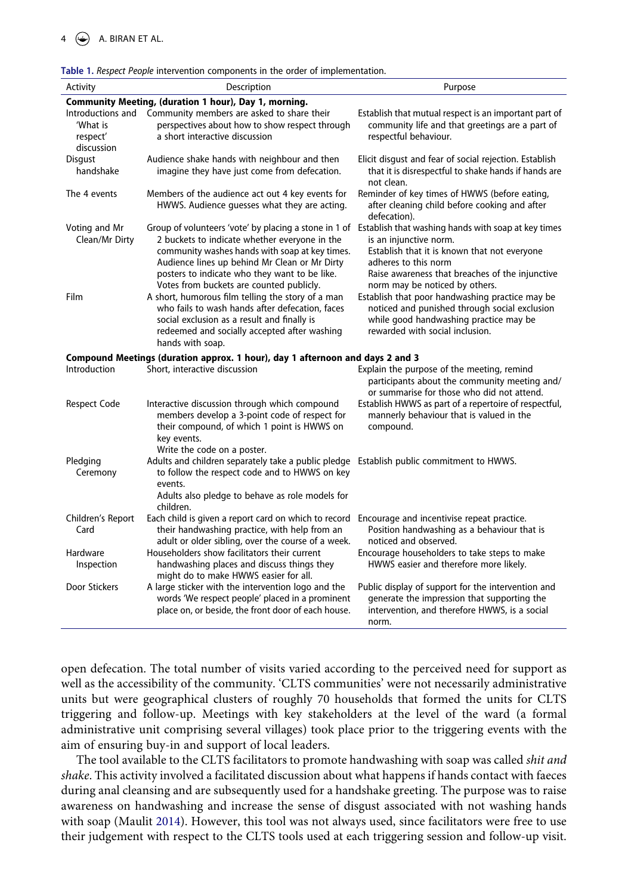$4 \quad \circledast$  A. BIRAN ET AL.

<span id="page-4-0"></span>

|  |  | Table 1. Respect People intervention components in the order of implementation. |  |  |
|--|--|---------------------------------------------------------------------------------|--|--|
|  |  |                                                                                 |  |  |

| Activity                                                | Description                                                                                                                                                                                                                                                                                                                                                | Purpose                                                                                                                                                                                                                                                     |
|---------------------------------------------------------|------------------------------------------------------------------------------------------------------------------------------------------------------------------------------------------------------------------------------------------------------------------------------------------------------------------------------------------------------------|-------------------------------------------------------------------------------------------------------------------------------------------------------------------------------------------------------------------------------------------------------------|
|                                                         | Community Meeting, (duration 1 hour), Day 1, morning.                                                                                                                                                                                                                                                                                                      |                                                                                                                                                                                                                                                             |
| Introductions and<br>'What is<br>respect'<br>discussion | Community members are asked to share their<br>perspectives about how to show respect through<br>a short interactive discussion                                                                                                                                                                                                                             | Establish that mutual respect is an important part of<br>community life and that greetings are a part of<br>respectful behaviour.                                                                                                                           |
| <b>Disqust</b><br>handshake                             | Audience shake hands with neighbour and then<br>imagine they have just come from defecation.                                                                                                                                                                                                                                                               | Elicit disgust and fear of social rejection. Establish<br>that it is disrespectful to shake hands if hands are<br>not clean.                                                                                                                                |
| The 4 events                                            | Members of the audience act out 4 key events for<br>HWWS. Audience guesses what they are acting.                                                                                                                                                                                                                                                           | Reminder of key times of HWWS (before eating,<br>after cleaning child before cooking and after<br>defecation).                                                                                                                                              |
| Voting and Mr<br>Clean/Mr Dirty                         | Group of volunteers 'vote' by placing a stone in 1 of Establish that washing hands with soap at key times<br>2 buckets to indicate whether everyone in the<br>community washes hands with soap at key times.<br>Audience lines up behind Mr Clean or Mr Dirty<br>posters to indicate who they want to be like.<br>Votes from buckets are counted publicly. | is an injunctive norm.<br>Establish that it is known that not everyone<br>adheres to this norm<br>Raise awareness that breaches of the injunctive<br>norm may be noticed by others.                                                                         |
| Film                                                    | A short, humorous film telling the story of a man<br>who fails to wash hands after defecation, faces<br>social exclusion as a result and finally is<br>redeemed and socially accepted after washing<br>hands with soap.                                                                                                                                    | Establish that poor handwashing practice may be<br>noticed and punished through social exclusion<br>while good handwashing practice may be<br>rewarded with social inclusion.                                                                               |
|                                                         | Compound Meetings (duration approx. 1 hour), day 1 afternoon and days 2 and 3                                                                                                                                                                                                                                                                              |                                                                                                                                                                                                                                                             |
| Introduction<br><b>Respect Code</b>                     | Short, interactive discussion<br>Interactive discussion through which compound<br>members develop a 3-point code of respect for<br>their compound, of which 1 point is HWWS on                                                                                                                                                                             | Explain the purpose of the meeting, remind<br>participants about the community meeting and/<br>or summarise for those who did not attend.<br>Establish HWWS as part of a repertoire of respectful,<br>mannerly behaviour that is valued in the<br>compound. |
| Pledging<br>Ceremony                                    | key events.<br>Write the code on a poster.<br>Adults and children separately take a public pledge Establish public commitment to HWWS.<br>to follow the respect code and to HWWS on key<br>events.<br>Adults also pledge to behave as role models for                                                                                                      |                                                                                                                                                                                                                                                             |
| Children's Report<br>Card                               | children.<br>Each child is given a report card on which to record Encourage and incentivise repeat practice.<br>their handwashing practice, with help from an<br>adult or older sibling, over the course of a week.                                                                                                                                        | Position handwashing as a behaviour that is<br>noticed and observed.                                                                                                                                                                                        |
| Hardware<br>Inspection                                  | Householders show facilitators their current<br>handwashing places and discuss things they<br>might do to make HWWS easier for all.                                                                                                                                                                                                                        | Encourage householders to take steps to make<br>HWWS easier and therefore more likely.                                                                                                                                                                      |
| Door Stickers                                           | A large sticker with the intervention logo and the<br>words 'We respect people' placed in a prominent<br>place on, or beside, the front door of each house.                                                                                                                                                                                                | Public display of support for the intervention and<br>generate the impression that supporting the<br>intervention, and therefore HWWS, is a social<br>norm.                                                                                                 |

open defecation. The total number of visits varied according to the perceived need for support as well as the accessibility of the community. 'CLTS communities' were not necessarily administrative units but were geographical clusters of roughly 70 households that formed the units for CLTS triggering and follow-up. Meetings with key stakeholders at the level of the ward (a formal administrative unit comprising several villages) took place prior to the triggering events with the aim of ensuring buy-in and support of local leaders.

The tool available to the CLTS facilitators to promote handwashing with soap was called *shit and shake*. This activity involved a facilitated discussion about what happens if hands contact with faeces during anal cleansing and are subsequently used for a handshake greeting. The purpose was to raise awareness on handwashing and increase the sense of disgust associated with not washing hands with soap (Maulit [2014\)](#page-15-3). However, this tool was not always used, since facilitators were free to use their judgement with respect to the CLTS tools used at each triggering session and follow-up visit.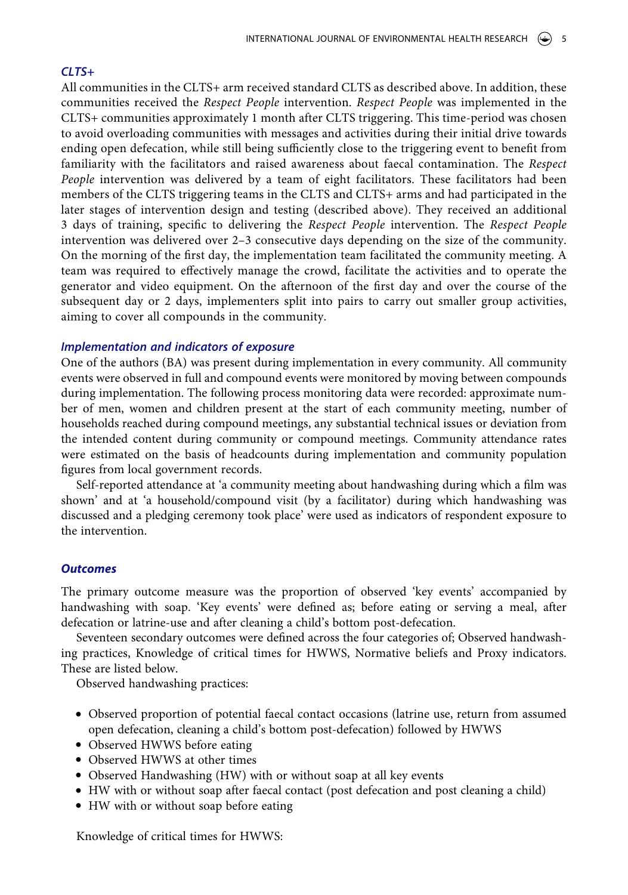# *CLTS+*

All communities in the CLTS+ arm received standard CLTS as described above. In addition, these communities received the *Respect People* intervention. *Respect People* was implemented in the CLTS+ communities approximately 1 month after CLTS triggering. This time-period was chosen to avoid overloading communities with messages and activities during their initial drive towards ending open defecation, while still being sufficiently close to the triggering event to benefit from familiarity with the facilitators and raised awareness about faecal contamination. The *Respect People* intervention was delivered by a team of eight facilitators. These facilitators had been members of the CLTS triggering teams in the CLTS and CLTS+ arms and had participated in the later stages of intervention design and testing (described above). They received an additional 3 days of training, specific to delivering the *Respect People* intervention. The *Respect People*  intervention was delivered over 2–3 consecutive days depending on the size of the community. On the morning of the first day, the implementation team facilitated the community meeting. A team was required to effectively manage the crowd, facilitate the activities and to operate the generator and video equipment. On the afternoon of the first day and over the course of the subsequent day or 2 days, implementers split into pairs to carry out smaller group activities, aiming to cover all compounds in the community.

# *Implementation and indicators of exposure*

One of the authors (BA) was present during implementation in every community. All community events were observed in full and compound events were monitored by moving between compounds during implementation. The following process monitoring data were recorded: approximate number of men, women and children present at the start of each community meeting, number of households reached during compound meetings, any substantial technical issues or deviation from the intended content during community or compound meetings. Community attendance rates were estimated on the basis of headcounts during implementation and community population figures from local government records.

Self-reported attendance at 'a community meeting about handwashing during which a film was shown' and at 'a household/compound visit (by a facilitator) during which handwashing was discussed and a pledging ceremony took place' were used as indicators of respondent exposure to the intervention.

# *Outcomes*

The primary outcome measure was the proportion of observed 'key events' accompanied by handwashing with soap. 'Key events' were defined as; before eating or serving a meal, after defecation or latrine-use and after cleaning a child's bottom post-defecation.

Seventeen secondary outcomes were defined across the four categories of; Observed handwashing practices, Knowledge of critical times for HWWS, Normative beliefs and Proxy indicators. These are listed below.

Observed handwashing practices:

- Observed proportion of potential faecal contact occasions (latrine use, return from assumed open defecation, cleaning a child's bottom post-defecation) followed by HWWS
- Observed HWWS before eating
- Observed HWWS at other times
- Observed Handwashing (HW) with or without soap at all key events
- HW with or without soap after faecal contact (post defecation and post cleaning a child)
- HW with or without soap before eating

Knowledge of critical times for HWWS: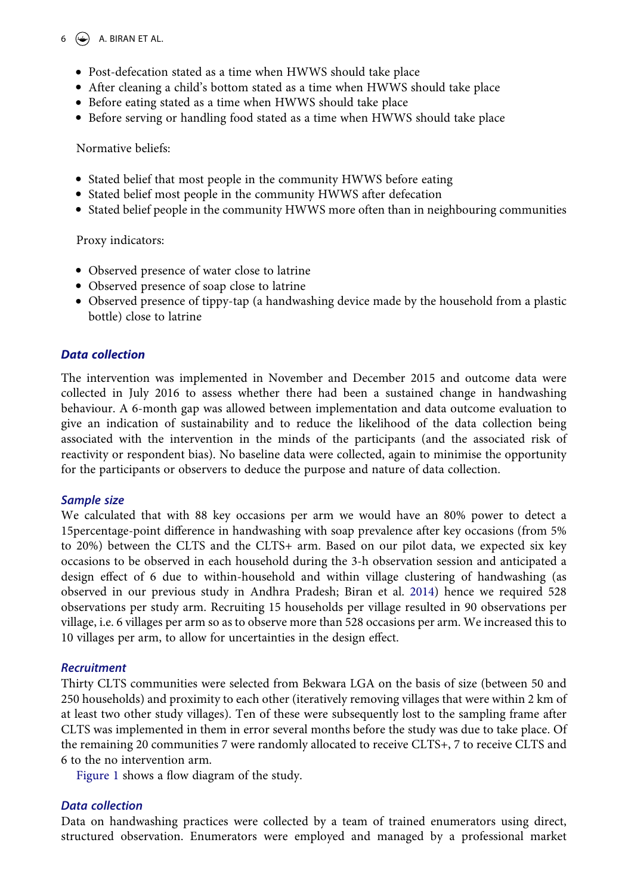# $6 \quad \Leftrightarrow$  A. BIRAN ET AL.

- Post-defecation stated as a time when HWWS should take place
- After cleaning a child's bottom stated as a time when HWWS should take place
- Before eating stated as a time when HWWS should take place
- Before serving or handling food stated as a time when HWWS should take place

#### Normative beliefs:

- Stated belief that most people in the community HWWS before eating
- Stated belief most people in the community HWWS after defecation
- Stated belief people in the community HWWS more often than in neighbouring communities

Proxy indicators:

- Observed presence of water close to latrine
- Observed presence of soap close to latrine
- Observed presence of tippy-tap (a handwashing device made by the household from a plastic bottle) close to latrine

# *Data collection*

The intervention was implemented in November and December 2015 and outcome data were collected in July 2016 to assess whether there had been a sustained change in handwashing behaviour. A 6-month gap was allowed between implementation and data outcome evaluation to give an indication of sustainability and to reduce the likelihood of the data collection being associated with the intervention in the minds of the participants (and the associated risk of reactivity or respondent bias). No baseline data were collected, again to minimise the opportunity for the participants or observers to deduce the purpose and nature of data collection.

#### *Sample size*

We calculated that with 88 key occasions per arm we would have an 80% power to detect a 15percentage-point difference in handwashing with soap prevalence after key occasions (from 5% to 20%) between the CLTS and the CLTS+ arm. Based on our pilot data, we expected six key occasions to be observed in each household during the 3-h observation session and anticipated a design effect of 6 due to within-household and within village clustering of handwashing (as observed in our previous study in Andhra Pradesh; Biran et al. [2014](#page-15-6)) hence we required 528 observations per study arm. Recruiting 15 households per village resulted in 90 observations per village, i.e. 6 villages per arm so as to observe more than 528 occasions per arm. We increased this to 10 villages per arm, to allow for uncertainties in the design effect.

#### *Recruitment*

Thirty CLTS communities were selected from Bekwara LGA on the basis of size (between 50 and 250 households) and proximity to each other (iteratively removing villages that were within 2 km of at least two other study villages). Ten of these were subsequently lost to the sampling frame after CLTS was implemented in them in error several months before the study was due to take place. Of the remaining 20 communities 7 were randomly allocated to receive CLTS+, 7 to receive CLTS and 6 to the no intervention arm.

[Figure 1](#page-7-0) shows a flow diagram of the study.

#### *Data collection*

Data on handwashing practices were collected by a team of trained enumerators using direct, structured observation. Enumerators were employed and managed by a professional market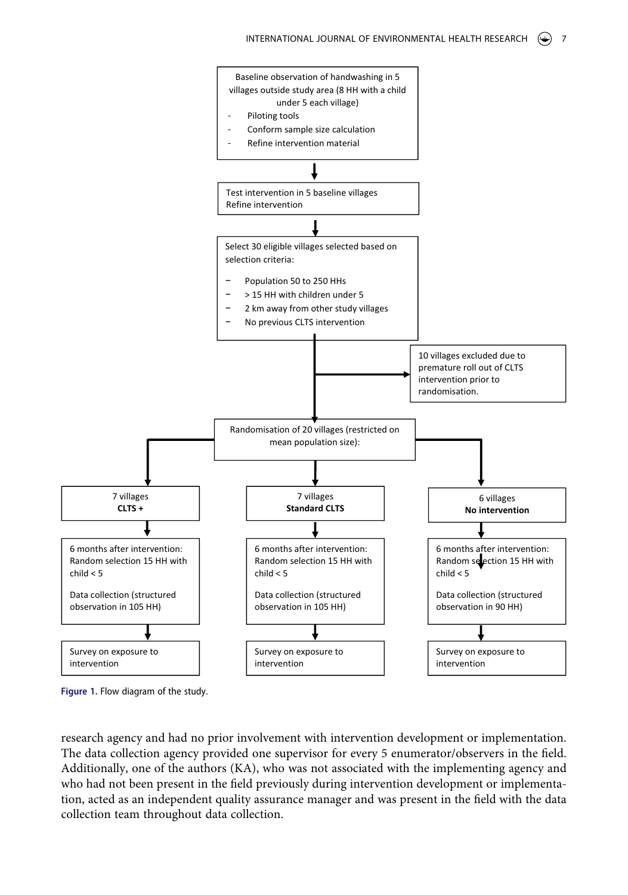<span id="page-7-0"></span>

**Figure 1.** Flow diagram of the study.

research agency and had no prior involvement with intervention development or implementation. The data collection agency provided one supervisor for every 5 enumerator/observers in the field. Additionally, one of the authors (KA), who was not associated with the implementing agency and who had not been present in the field previously during intervention development or implementation, acted as an independent quality assurance manager and was present in the field with the data collection team throughout data collection.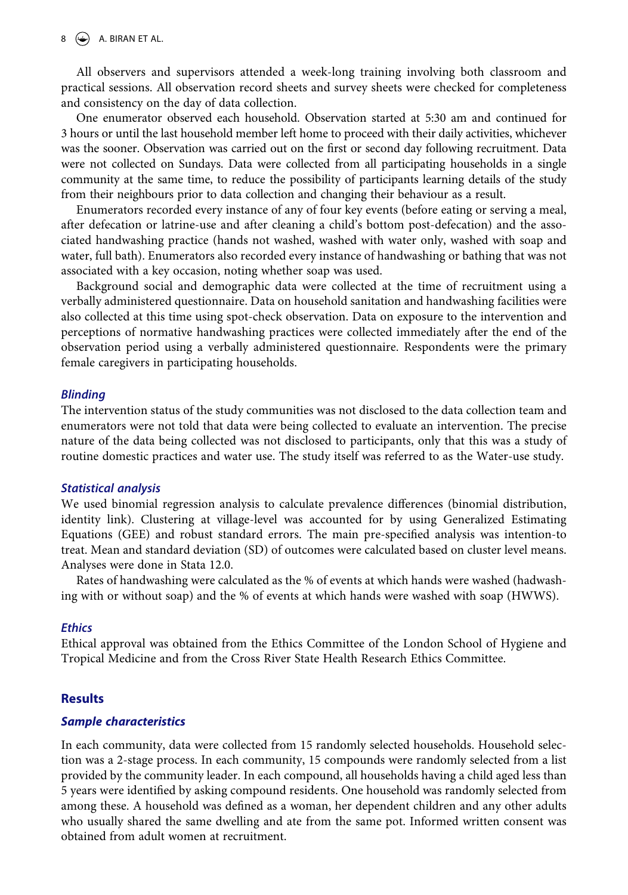#### $8 \quad \circledast$  A. BIRAN ET AL.

All observers and supervisors attended a week-long training involving both classroom and practical sessions. All observation record sheets and survey sheets were checked for completeness and consistency on the day of data collection.

One enumerator observed each household. Observation started at 5:30 am and continued for 3 hours or until the last household member left home to proceed with their daily activities, whichever was the sooner. Observation was carried out on the first or second day following recruitment. Data were not collected on Sundays. Data were collected from all participating households in a single community at the same time, to reduce the possibility of participants learning details of the study from their neighbours prior to data collection and changing their behaviour as a result.

Enumerators recorded every instance of any of four key events (before eating or serving a meal, after defecation or latrine-use and after cleaning a child's bottom post-defecation) and the associated handwashing practice (hands not washed, washed with water only, washed with soap and water, full bath). Enumerators also recorded every instance of handwashing or bathing that was not associated with a key occasion, noting whether soap was used.

Background social and demographic data were collected at the time of recruitment using a verbally administered questionnaire. Data on household sanitation and handwashing facilities were also collected at this time using spot-check observation. Data on exposure to the intervention and perceptions of normative handwashing practices were collected immediately after the end of the observation period using a verbally administered questionnaire. Respondents were the primary female caregivers in participating households.

#### *Blinding*

The intervention status of the study communities was not disclosed to the data collection team and enumerators were not told that data were being collected to evaluate an intervention. The precise nature of the data being collected was not disclosed to participants, only that this was a study of routine domestic practices and water use. The study itself was referred to as the Water-use study.

#### *Statistical analysis*

We used binomial regression analysis to calculate prevalence differences (binomial distribution, identity link). Clustering at village-level was accounted for by using Generalized Estimating Equations (GEE) and robust standard errors. The main pre-specified analysis was intention-to treat. Mean and standard deviation (SD) of outcomes were calculated based on cluster level means. Analyses were done in Stata 12.0.

Rates of handwashing were calculated as the % of events at which hands were washed (hadwashing with or without soap) and the % of events at which hands were washed with soap (HWWS).

#### *Ethics*

Ethical approval was obtained from the Ethics Committee of the London School of Hygiene and Tropical Medicine and from the Cross River State Health Research Ethics Committee.

# **Results**

#### *Sample characteristics*

In each community, data were collected from 15 randomly selected households. Household selection was a 2-stage process. In each community, 15 compounds were randomly selected from a list provided by the community leader. In each compound, all households having a child aged less than 5 years were identified by asking compound residents. One household was randomly selected from among these. A household was defined as a woman, her dependent children and any other adults who usually shared the same dwelling and ate from the same pot. Informed written consent was obtained from adult women at recruitment.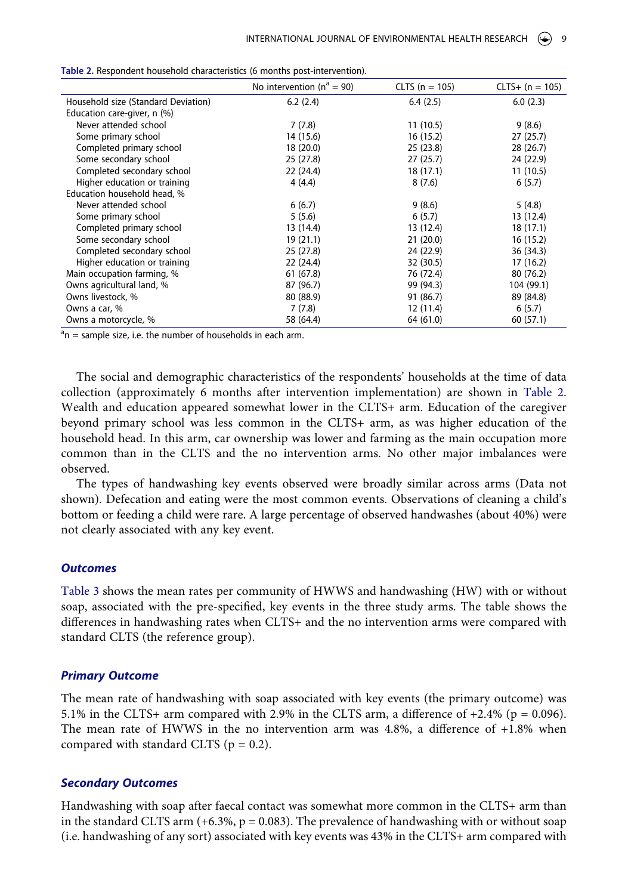|                                     | No intervention ( $n^a = 90$ ) | $CLTS (n = 105)$ | $CLTS+ (n = 105)$ |
|-------------------------------------|--------------------------------|------------------|-------------------|
| Household size (Standard Deviation) | 6.2(2.4)                       | 6.4(2.5)         | 6.0(2.3)          |
| Education care-giver, n (%)         |                                |                  |                   |
| Never attended school               | 7(7.8)                         | 11(10.5)         | 9(8.6)            |
| Some primary school                 | 14 (15.6)                      | 16 (15.2)        | 27 (25.7)         |
| Completed primary school            | 18 (20.0)                      | 25(23.8)         | 28 (26.7)         |
| Some secondary school               | 25 (27.8)                      | 27(25.7)         | 24 (22.9)         |
| Completed secondary school          | 22 (24.4)                      | 18 (17.1)        | 11(10.5)          |
| Higher education or training        | 4(4.4)                         | 8(7.6)           | 6(5.7)            |
| Education household head, %         |                                |                  |                   |
| Never attended school               | 6(6.7)                         | 9(8.6)           | 5(4.8)            |
| Some primary school                 | 5(5.6)                         | 6(5.7)           | 13 (12.4)         |
| Completed primary school            | 13 (14.4)                      | 13 (12.4)        | 18 (17.1)         |
| Some secondary school               | 19 (21.1)                      | 21(20.0)         | 16(15.2)          |
| Completed secondary school          | 25 (27.8)                      | 24 (22.9)        | 36 (34.3)         |
| Higher education or training        | 22 (24.4)                      | 32 (30.5)        | 17 (16.2)         |
| Main occupation farming, %          | 61(67.8)                       | 76 (72.4)        | 80 (76.2)         |
| Owns agricultural land, %           | 87 (96.7)                      | 99 (94.3)        | 104 (99.1)        |
| Owns livestock, %                   | 80 (88.9)                      | 91 (86.7)        | 89 (84.8)         |
| Owns a car, %                       | 7(7.8)                         | 12 (11.4)        | 6(5.7)            |
| Owns a motorcycle, %                | 58 (64.4)                      | 64 (61.0)        | 60 (57.1)         |

<span id="page-9-0"></span>**Table 2.** Respondent household characteristics (6 months post-intervention).

 $a_n$  = sample size, i.e. the number of households in each arm.

The social and demographic characteristics of the respondents' households at the time of data collection (approximately 6 months after intervention implementation) are shown in [Table 2.](#page-9-0) Wealth and education appeared somewhat lower in the CLTS+ arm. Education of the caregiver beyond primary school was less common in the CLTS+ arm, as was higher education of the household head. In this arm, car ownership was lower and farming as the main occupation more common than in the CLTS and the no intervention arms. No other major imbalances were observed.

The types of handwashing key events observed were broadly similar across arms (Data not shown). Defecation and eating were the most common events. Observations of cleaning a child's bottom or feeding a child were rare. A large percentage of observed handwashes (about 40%) were not clearly associated with any key event.

#### *Outcomes*

[Table 3](#page-10-0) shows the mean rates per community of HWWS and handwashing (HW) with or without soap, associated with the pre-specified, key events in the three study arms. The table shows the differences in handwashing rates when CLTS+ and the no intervention arms were compared with standard CLTS (the reference group).

#### *Primary Outcome*

The mean rate of handwashing with soap associated with key events (the primary outcome) was 5.1% in the CLTS+ arm compared with 2.9% in the CLTS arm, a difference of  $+2.4\%$  ( $p = 0.096$ ). The mean rate of HWWS in the no intervention arm was 4.8%, a difference of +1.8% when compared with standard CLTS ( $p = 0.2$ ).

#### *Secondary Outcomes*

Handwashing with soap after faecal contact was somewhat more common in the CLTS+ arm than in the standard CLTS arm  $(+6.3\%, p = 0.083)$ . The prevalence of handwashing with or without soap (i.e. handwashing of any sort) associated with key events was 43% in the CLTS+ arm compared with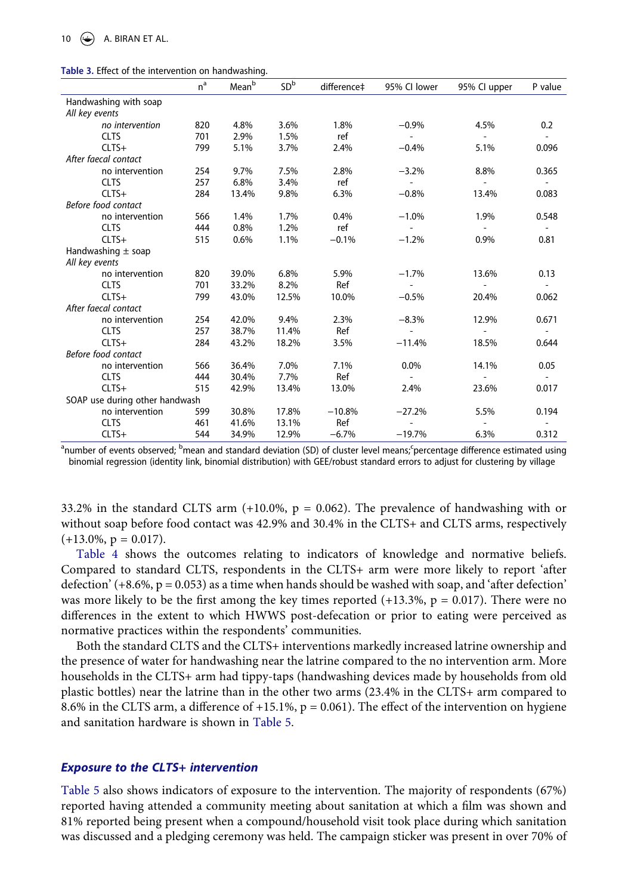<span id="page-10-0"></span>

|  |  |  |  |  | Table 3. Effect of the intervention on handwashing. |
|--|--|--|--|--|-----------------------------------------------------|
|--|--|--|--|--|-----------------------------------------------------|

|                                | $n^a$ | Mean <sup>b</sup> | SD <sup>b</sup> | difference‡ | 95% CI lower   | 95% CI upper             | P value                  |
|--------------------------------|-------|-------------------|-----------------|-------------|----------------|--------------------------|--------------------------|
| Handwashing with soap          |       |                   |                 |             |                |                          |                          |
| All key events                 |       |                   |                 |             |                |                          |                          |
| no intervention                | 820   | 4.8%              | 3.6%            | 1.8%        | $-0.9%$        | 4.5%                     | 0.2                      |
| <b>CLTS</b>                    | 701   | 2.9%              | 1.5%            | ref         | $\overline{a}$ | $\sim$                   | $\overline{a}$           |
| $CLTS+$                        | 799   | 5.1%              | 3.7%            | 2.4%        | $-0.4%$        | 5.1%                     | 0.096                    |
| After faecal contact           |       |                   |                 |             |                |                          |                          |
| no intervention                | 254   | 9.7%              | 7.5%            | 2.8%        | $-3.2%$        | 8.8%                     | 0.365                    |
| <b>CLTS</b>                    | 257   | 6.8%              | 3.4%            | ref         |                |                          |                          |
| $CLTS+$                        | 284   | 13.4%             | 9.8%            | 6.3%        | $-0.8%$        | 13.4%                    | 0.083                    |
| Before food contact            |       |                   |                 |             |                |                          |                          |
| no intervention                | 566   | 1.4%              | 1.7%            | 0.4%        | $-1.0%$        | 1.9%                     | 0.548                    |
| <b>CLTS</b>                    | 444   | 0.8%              | 1.2%            | ref         |                |                          |                          |
| $CLTS+$                        | 515   | 0.6%              | 1.1%            | $-0.1%$     | $-1.2%$        | 0.9%                     | 0.81                     |
| Handwashing $\pm$ soap         |       |                   |                 |             |                |                          |                          |
| All key events                 |       |                   |                 |             |                |                          |                          |
| no intervention                | 820   | 39.0%             | 6.8%            | 5.9%        | $-1.7%$        | 13.6%                    | 0.13                     |
| <b>CLTS</b>                    | 701   | 33.2%             | 8.2%            | Ref         |                |                          |                          |
| $CLTS+$                        | 799   | 43.0%             | 12.5%           | 10.0%       | $-0.5%$        | 20.4%                    | 0.062                    |
| After faecal contact           |       |                   |                 |             |                |                          |                          |
| no intervention                | 254   | 42.0%             | 9.4%            | 2.3%        | $-8.3%$        | 12.9%                    | 0.671                    |
| <b>CLTS</b>                    | 257   | 38.7%             | 11.4%           | Ref         |                |                          |                          |
| $CLTS+$                        | 284   | 43.2%             | 18.2%           | 3.5%        | $-11.4%$       | 18.5%                    | 0.644                    |
| Before food contact            |       |                   |                 |             |                |                          |                          |
| no intervention                | 566   | 36.4%             | 7.0%            | 7.1%        | 0.0%           | 14.1%                    | 0.05                     |
| <b>CLTS</b>                    | 444   | 30.4%             | 7.7%            | Ref         |                | $\overline{\phantom{a}}$ | $\overline{\phantom{a}}$ |
| $CLTS+$                        | 515   | 42.9%             | 13.4%           | 13.0%       | 2.4%           | 23.6%                    | 0.017                    |
| SOAP use during other handwash |       |                   |                 |             |                |                          |                          |
| no intervention                | 599   | 30.8%             | 17.8%           | $-10.8%$    | $-27.2%$       | 5.5%                     | 0.194                    |
| <b>CLTS</b>                    | 461   | 41.6%             | 13.1%           | Ref         |                |                          |                          |
| $CLTS+$                        | 544   | 34.9%             | 12.9%           | $-6.7%$     | $-19.7%$       | 6.3%                     | 0.312                    |

<sup>a</sup>number of events observed; <sup>b</sup>mean and standard deviation (SD) of cluster level means;<sup>c</sup>percentage difference estimated using binomial regression (identity link, binomial distribution) with GEE/robust standard errors to adjust for clustering by village

33.2% in the standard CLTS arm  $(+10.0\% , p = 0.062)$ . The prevalence of handwashing with or without soap before food contact was 42.9% and 30.4% in the CLTS+ and CLTS arms, respectively  $(+13.0\%, p = 0.017).$ 

[Table 4](#page-11-0) shows the outcomes relating to indicators of knowledge and normative beliefs. Compared to standard CLTS, respondents in the CLTS+ arm were more likely to report 'after defection'  $(+8.6\%, p = 0.053)$  as a time when hands should be washed with soap, and 'after defection' was more likely to be the first among the key times reported  $(+13.3\%, p = 0.017)$ . There were no differences in the extent to which HWWS post-defecation or prior to eating were perceived as normative practices within the respondents' communities.

Both the standard CLTS and the CLTS+ interventions markedly increased latrine ownership and the presence of water for handwashing near the latrine compared to the no intervention arm. More households in the CLTS+ arm had tippy-taps (handwashing devices made by households from old plastic bottles) near the latrine than in the other two arms (23.4% in the CLTS+ arm compared to 8.6% in the CLTS arm, a difference of +15.1%,  $p = 0.061$ ). The effect of the intervention on hygiene and sanitation hardware is shown in [Table 5.](#page-12-0)

#### *Exposure to the CLTS+ intervention*

[Table 5](#page-12-0) also shows indicators of exposure to the intervention. The majority of respondents (67%) reported having attended a community meeting about sanitation at which a film was shown and 81% reported being present when a compound/household visit took place during which sanitation was discussed and a pledging ceremony was held. The campaign sticker was present in over 70% of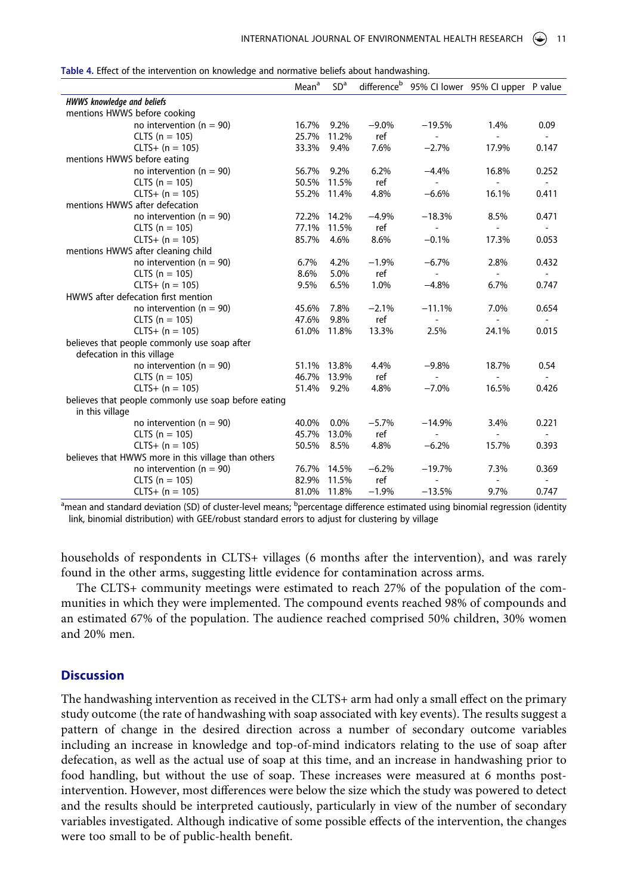<span id="page-11-0"></span>**Table 4.** Effect of the intervention on knowledge and normative beliefs about handwashing.

|                                                      | Mean <sup>a</sup> | SD <sup>a</sup> | difference <sup>b</sup> |                          | 95% CI lower 95% CI upper P value |                          |
|------------------------------------------------------|-------------------|-----------------|-------------------------|--------------------------|-----------------------------------|--------------------------|
| <b>HWWS knowledge and beliefs</b>                    |                   |                 |                         |                          |                                   |                          |
| mentions HWWS before cooking                         |                   |                 |                         |                          |                                   |                          |
| no intervention ( $n = 90$ )                         | 16.7%             | 9.2%            | $-9.0\%$                | $-19.5%$                 | 1.4%                              | 0.09                     |
| $CLTS (n = 105)$                                     | 25.7%             | 11.2%           | ref                     | $\overline{a}$           | ÷                                 | $\overline{\phantom{a}}$ |
| $CLTS+ (n = 105)$                                    | 33.3%             | 9.4%            | 7.6%                    | $-2.7%$                  | 17.9%                             | 0.147                    |
| mentions HWWS before eating                          |                   |                 |                         |                          |                                   |                          |
| no intervention ( $n = 90$ )                         | 56.7%             | 9.2%            | 6.2%                    | $-4.4%$                  | 16.8%                             | 0.252                    |
| $CLTS (n = 105)$                                     | 50.5%             | 11.5%           | ref                     | $\overline{\phantom{a}}$ | $\overline{\phantom{a}}$          | $\overline{\phantom{a}}$ |
| $CLTS+ (n = 105)$                                    | 55.2%             | 11.4%           | 4.8%                    | $-6.6%$                  | 16.1%                             | 0.411                    |
| mentions HWWS after defecation                       |                   |                 |                         |                          |                                   |                          |
| no intervention ( $n = 90$ )                         | 72.2%             | 14.2%           | $-4.9%$                 | $-18.3%$                 | 8.5%                              | 0.471                    |
| $CLTS (n = 105)$                                     | 77.1%             | 11.5%           | ref                     | $\overline{a}$           | $\overline{a}$                    | $\overline{a}$           |
| $CLTS+ (n = 105)$                                    | 85.7%             | 4.6%            | 8.6%                    | $-0.1%$                  | 17.3%                             | 0.053                    |
| mentions HWWS after cleaning child                   |                   |                 |                         |                          |                                   |                          |
| no intervention ( $n = 90$ )                         | 6.7%              | 4.2%            | $-1.9%$                 | $-6.7%$                  | 2.8%                              | 0.432                    |
| $CLTS (n = 105)$                                     | 8.6%              | 5.0%            | ref                     | ٠                        | $\sim$                            |                          |
| $CLTS+ (n = 105)$                                    | 9.5%              | 6.5%            | 1.0%                    | $-4.8%$                  | 6.7%                              | 0.747                    |
| HWWS after defecation first mention                  |                   |                 |                         |                          |                                   |                          |
| no intervention ( $n = 90$ )                         | 45.6%             | 7.8%            | $-2.1%$                 | $-11.1%$                 | 7.0%                              | 0.654                    |
| $CLTS (n = 105)$                                     | 47.6%             | 9.8%            | ref                     | $\overline{a}$           | ٠                                 | $\overline{\phantom{a}}$ |
| $CLTS+ (n = 105)$                                    | 61.0%             | 11.8%           | 13.3%                   | 2.5%                     | 24.1%                             | 0.015                    |
| believes that people commonly use soap after         |                   |                 |                         |                          |                                   |                          |
| defecation in this village                           |                   |                 |                         |                          |                                   |                          |
| no intervention ( $n = 90$ )                         | 51.1%             | 13.8%           | 4.4%                    | $-9.8%$                  | 18.7%                             | 0.54                     |
| $CLTS (n = 105)$                                     | 46.7%             | 13.9%           | ref                     |                          |                                   |                          |
| $CLTS+ (n = 105)$                                    | 51.4%             | 9.2%            | 4.8%                    | $-7.0%$                  | 16.5%                             | 0.426                    |
| believes that people commonly use soap before eating |                   |                 |                         |                          |                                   |                          |
| in this village                                      |                   |                 |                         |                          |                                   |                          |
| no intervention ( $n = 90$ )                         | 40.0%             | 0.0%            | $-5.7%$                 | $-14.9%$                 | 3.4%                              | 0.221                    |
| $CLTS (n = 105)$                                     | 45.7%             | 13.0%           | ref                     |                          |                                   |                          |
| $CLTS+ (n = 105)$                                    | 50.5%             | 8.5%            | 4.8%                    | $-6.2%$                  | 15.7%                             | 0.393                    |
| believes that HWWS more in this village than others  |                   |                 |                         |                          |                                   |                          |
| no intervention ( $n = 90$ )                         | 76.7%             | 14.5%           | $-6.2%$                 | $-19.7%$                 | 7.3%                              | 0.369                    |
| $CLTS (n = 105)$                                     | 82.9%             | 11.5%           | ref                     |                          |                                   |                          |
| $CLTS+ (n = 105)$                                    | 81.0% 11.8%       |                 | $-1.9%$                 | $-13.5%$                 | 9.7%                              | 0.747                    |

<sup>a</sup>mean and standard deviation (SD) of cluster-level means; <sup>b</sup>percentage difference estimated using binomial regression (identity link, binomial distribution) with GEE/robust standard errors to adjust for clustering by village

households of respondents in CLTS+ villages (6 months after the intervention), and was rarely found in the other arms, suggesting little evidence for contamination across arms.

The CLTS+ community meetings were estimated to reach 27% of the population of the communities in which they were implemented. The compound events reached 98% of compounds and an estimated 67% of the population. The audience reached comprised 50% children, 30% women and 20% men.

## **Discussion**

The handwashing intervention as received in the CLTS+ arm had only a small effect on the primary study outcome (the rate of handwashing with soap associated with key events). The results suggest a pattern of change in the desired direction across a number of secondary outcome variables including an increase in knowledge and top-of-mind indicators relating to the use of soap after defecation, as well as the actual use of soap at this time, and an increase in handwashing prior to food handling, but without the use of soap. These increases were measured at 6 months postintervention. However, most differences were below the size which the study was powered to detect and the results should be interpreted cautiously, particularly in view of the number of secondary variables investigated. Although indicative of some possible effects of the intervention, the changes were too small to be of public-health benefit.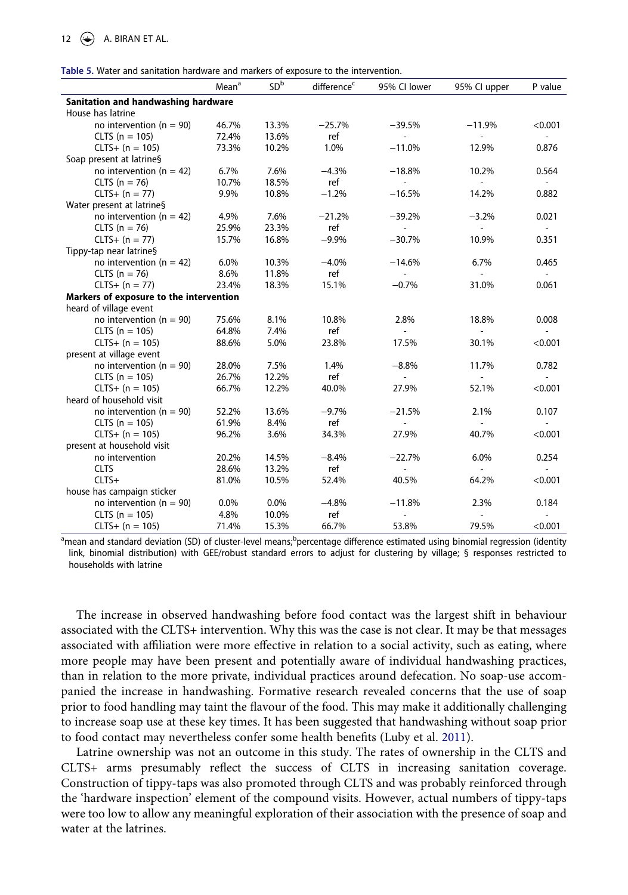<span id="page-12-0"></span>

| <b>Mater and Samtagon naraware and manters or exposure to the intervention.</b> | Mean <sup>a</sup> | SD <sup>b</sup> | difference <sup>c</sup> | 95% CI lower             | 95% Cl upper                | P value                  |  |  |  |  |
|---------------------------------------------------------------------------------|-------------------|-----------------|-------------------------|--------------------------|-----------------------------|--------------------------|--|--|--|--|
| Sanitation and handwashing hardware                                             |                   |                 |                         |                          |                             |                          |  |  |  |  |
| House has latrine                                                               |                   |                 |                         |                          |                             |                          |  |  |  |  |
| no intervention ( $n = 90$ )                                                    | 46.7%             | 13.3%           | $-25.7%$                | $-39.5%$                 | $-11.9%$                    | < 0.001                  |  |  |  |  |
| $CLTS (n = 105)$                                                                | 72.4%             | 13.6%           | ref                     |                          |                             |                          |  |  |  |  |
| $CLTS+ (n = 105)$                                                               | 73.3%             | 10.2%           | 1.0%                    | $-11.0%$                 | 12.9%                       | 0.876                    |  |  |  |  |
| Soap present at latrine§                                                        |                   |                 |                         |                          |                             |                          |  |  |  |  |
| no intervention ( $n = 42$ )                                                    | 6.7%              | 7.6%            | $-4.3%$                 | $-18.8%$                 | 10.2%                       | 0.564                    |  |  |  |  |
| CLTS ( $n = 76$ )                                                               | 10.7%             | 18.5%           | ref                     |                          | ٠                           |                          |  |  |  |  |
| $CLTS+ (n = 77)$                                                                | 9.9%              | 10.8%           | $-1.2%$                 | $-16.5%$                 | 14.2%                       | 0.882                    |  |  |  |  |
| Water present at latrine§                                                       |                   |                 |                         |                          |                             |                          |  |  |  |  |
| no intervention ( $n = 42$ )                                                    | 4.9%              | 7.6%            | $-21.2%$                | $-39.2%$                 | $-3.2%$                     | 0.021                    |  |  |  |  |
| CLTS ( $n = 76$ )                                                               | 25.9%             | 23.3%           | ref                     | $\overline{a}$           | $\sim$                      | $\sim$                   |  |  |  |  |
| $CLTS+ (n = 77)$                                                                | 15.7%             | 16.8%           | $-9.9%$                 | $-30.7%$                 | 10.9%                       | 0.351                    |  |  |  |  |
| Tippy-tap near latrine§                                                         |                   |                 |                         |                          |                             |                          |  |  |  |  |
| no intervention ( $n = 42$ )                                                    | 6.0%              | 10.3%           | $-4.0%$                 | $-14.6%$                 | 6.7%                        | 0.465                    |  |  |  |  |
| CLTS ( $n = 76$ )                                                               | 8.6%              | 11.8%           | ref                     | $\overline{\phantom{a}}$ | $\mathcal{L}_{\mathcal{A}}$ | $\sim$                   |  |  |  |  |
| $CLTS+ (n = 77)$                                                                | 23.4%             | 18.3%           | 15.1%                   | $-0.7%$                  | 31.0%                       | 0.061                    |  |  |  |  |
| Markers of exposure to the intervention                                         |                   |                 |                         |                          |                             |                          |  |  |  |  |
| heard of village event                                                          |                   |                 |                         |                          |                             |                          |  |  |  |  |
| no intervention ( $n = 90$ )                                                    | 75.6%             | 8.1%            | 10.8%                   | 2.8%                     | 18.8%                       | 0.008                    |  |  |  |  |
| $CLTS (n = 105)$                                                                | 64.8%             | 7.4%            | ref                     | $\overline{\phantom{0}}$ | $\overline{\phantom{a}}$    |                          |  |  |  |  |
| $CLTS+ (n = 105)$                                                               | 88.6%             | 5.0%            | 23.8%                   | 17.5%                    | 30.1%                       | < 0.001                  |  |  |  |  |
| present at village event                                                        |                   |                 |                         |                          |                             |                          |  |  |  |  |
| no intervention ( $n = 90$ )                                                    | 28.0%             | 7.5%            | 1.4%                    | $-8.8%$                  | 11.7%                       | 0.782                    |  |  |  |  |
| $CLTS (n = 105)$                                                                | 26.7%             | 12.2%           | ref                     |                          |                             |                          |  |  |  |  |
| $CLTS+ (n = 105)$                                                               | 66.7%             | 12.2%           | 40.0%                   | 27.9%                    | 52.1%                       | < 0.001                  |  |  |  |  |
| heard of household visit                                                        |                   |                 |                         |                          |                             |                          |  |  |  |  |
| no intervention ( $n = 90$ )                                                    | 52.2%             | 13.6%           | $-9.7%$                 | $-21.5%$                 | 2.1%                        | 0.107                    |  |  |  |  |
| $CLTS (n = 105)$                                                                | 61.9%             | 8.4%            | ref                     |                          | $\overline{\phantom{a}}$    |                          |  |  |  |  |
| $CLTS+ (n = 105)$                                                               | 96.2%             | 3.6%            | 34.3%                   | 27.9%                    | 40.7%                       | < 0.001                  |  |  |  |  |
| present at household visit                                                      |                   |                 |                         |                          |                             |                          |  |  |  |  |
| no intervention                                                                 | 20.2%             | 14.5%           | $-8.4%$                 | $-22.7%$                 | 6.0%                        | 0.254                    |  |  |  |  |
| <b>CLTS</b>                                                                     | 28.6%             | 13.2%           | ref                     | $\overline{\phantom{a}}$ | $\overline{a}$              | $\overline{\phantom{a}}$ |  |  |  |  |
| $CLTS+$                                                                         | 81.0%             | 10.5%           | 52.4%                   | 40.5%                    | 64.2%                       | < 0.001                  |  |  |  |  |
| house has campaign sticker                                                      |                   |                 |                         |                          |                             |                          |  |  |  |  |
| no intervention ( $n = 90$ )                                                    | $0.0\%$           | 0.0%            | $-4.8%$                 | $-11.8%$                 | 2.3%                        | 0.184                    |  |  |  |  |
| $CLTS (n = 105)$                                                                | 4.8%              | 10.0%           | ref                     |                          |                             |                          |  |  |  |  |
| $CLTS+ (n = 105)$                                                               | 71.4%             | 15.3%           | 66.7%                   | 53.8%                    | 79.5%                       | < 0.001                  |  |  |  |  |

<sup>a</sup>mean and standard deviation (SD) of cluster-level means;<sup>b</sup>percentage difference estimated using binomial regression (identity link, binomial distribution) with GEE/robust standard errors to adjust for clustering by village; § responses restricted to households with latrine

The increase in observed handwashing before food contact was the largest shift in behaviour associated with the CLTS+ intervention. Why this was the case is not clear. It may be that messages associated with affiliation were more effective in relation to a social activity, such as eating, where more people may have been present and potentially aware of individual handwashing practices, than in relation to the more private, individual practices around defecation. No soap-use accompanied the increase in handwashing. Formative research revealed concerns that the use of soap prior to food handling may taint the flavour of the food. This may make it additionally challenging to increase soap use at these key times. It has been suggested that handwashing without soap prior to food contact may nevertheless confer some health benefits (Luby et al. [2011](#page-15-14)).

<span id="page-12-1"></span>Latrine ownership was not an outcome in this study. The rates of ownership in the CLTS and CLTS+ arms presumably reflect the success of CLTS in increasing sanitation coverage. Construction of tippy-taps was also promoted through CLTS and was probably reinforced through the 'hardware inspection' element of the compound visits. However, actual numbers of tippy-taps were too low to allow any meaningful exploration of their association with the presence of soap and water at the latrines.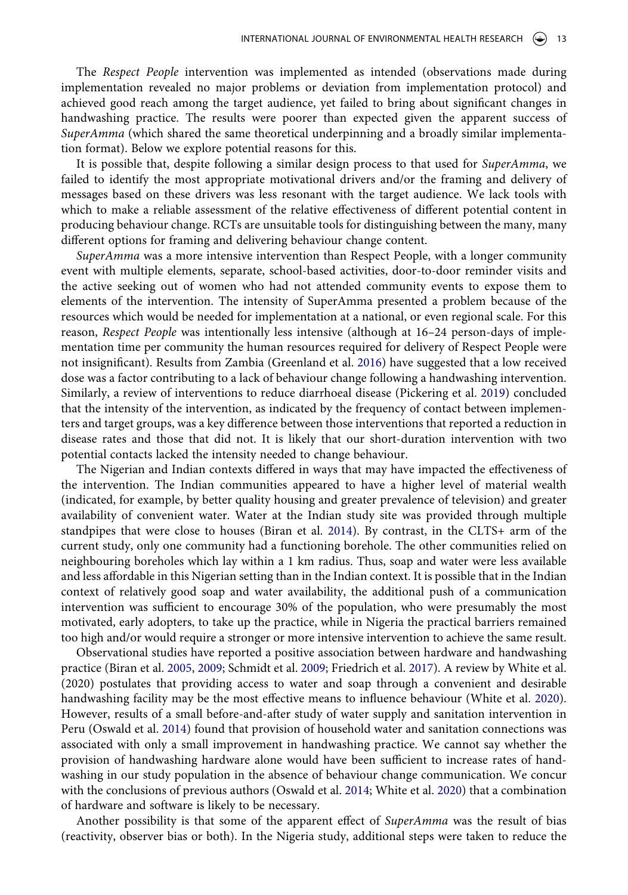The *Respect People* intervention was implemented as intended (observations made during implementation revealed no major problems or deviation from implementation protocol) and achieved good reach among the target audience, yet failed to bring about significant changes in handwashing practice. The results were poorer than expected given the apparent success of *SuperAmma* (which shared the same theoretical underpinning and a broadly similar implementation format). Below we explore potential reasons for this.

It is possible that, despite following a similar design process to that used for *SuperAmma*, we failed to identify the most appropriate motivational drivers and/or the framing and delivery of messages based on these drivers was less resonant with the target audience. We lack tools with which to make a reliable assessment of the relative effectiveness of different potential content in producing behaviour change. RCTs are unsuitable tools for distinguishing between the many, many different options for framing and delivering behaviour change content.

<span id="page-13-1"></span>*SuperAmma* was a more intensive intervention than Respect People, with a longer community event with multiple elements, separate, school-based activities, door-to-door reminder visits and the active seeking out of women who had not attended community events to expose them to elements of the intervention. The intensity of SuperAmma presented a problem because of the resources which would be needed for implementation at a national, or even regional scale. For this reason, *Respect People* was intentionally less intensive (although at 16–24 person-days of implementation time per community the human resources required for delivery of Respect People were not insignificant). Results from Zambia (Greenland et al. [2016\)](#page-15-15) have suggested that a low received dose was a factor contributing to a lack of behaviour change following a handwashing intervention. Similarly, a review of interventions to reduce diarrhoeal disease (Pickering et al. [2019](#page-15-16)) concluded that the intensity of the intervention, as indicated by the frequency of contact between implementers and target groups, was a key difference between those interventions that reported a reduction in disease rates and those that did not. It is likely that our short-duration intervention with two potential contacts lacked the intensity needed to change behaviour.

<span id="page-13-3"></span>The Nigerian and Indian contexts differed in ways that may have impacted the effectiveness of the intervention. The Indian communities appeared to have a higher level of material wealth (indicated, for example, by better quality housing and greater prevalence of television) and greater availability of convenient water. Water at the Indian study site was provided through multiple standpipes that were close to houses (Biran et al. [2014\)](#page-15-6). By contrast, in the CLTS+ arm of the current study, only one community had a functioning borehole. The other communities relied on neighbouring boreholes which lay within a 1 km radius. Thus, soap and water were less available and less affordable in this Nigerian setting than in the Indian context. It is possible that in the Indian context of relatively good soap and water availability, the additional push of a communication intervention was sufficient to encourage 30% of the population, who were presumably the most motivated, early adopters, to take up the practice, while in Nigeria the practical barriers remained too high and/or would require a stronger or more intensive intervention to achieve the same result.

<span id="page-13-0"></span>Observational studies have reported a positive association between hardware and handwashing practice (Biran et al. [2005,](#page-15-17) [2009;](#page-15-18) Schmidt et al. [2009;](#page-16-1) Friedrich et al. [2017\)](#page-15-19). A review by White et al. (2020) postulates that providing access to water and soap through a convenient and desirable handwashing facility may be the most effective means to influence behaviour (White et al. [2020](#page-16-2)). However, results of a small before-and-after study of water supply and sanitation intervention in Peru (Oswald et al. [2014\)](#page-15-20) found that provision of household water and sanitation connections was associated with only a small improvement in handwashing practice. We cannot say whether the provision of handwashing hardware alone would have been sufficient to increase rates of handwashing in our study population in the absence of behaviour change communication. We concur with the conclusions of previous authors (Oswald et al. [2014](#page-15-20); White et al. [2020\)](#page-16-2) that a combination of hardware and software is likely to be necessary.

<span id="page-13-2"></span>Another possibility is that some of the apparent effect of *SuperAmma* was the result of bias (reactivity, observer bias or both). In the Nigeria study, additional steps were taken to reduce the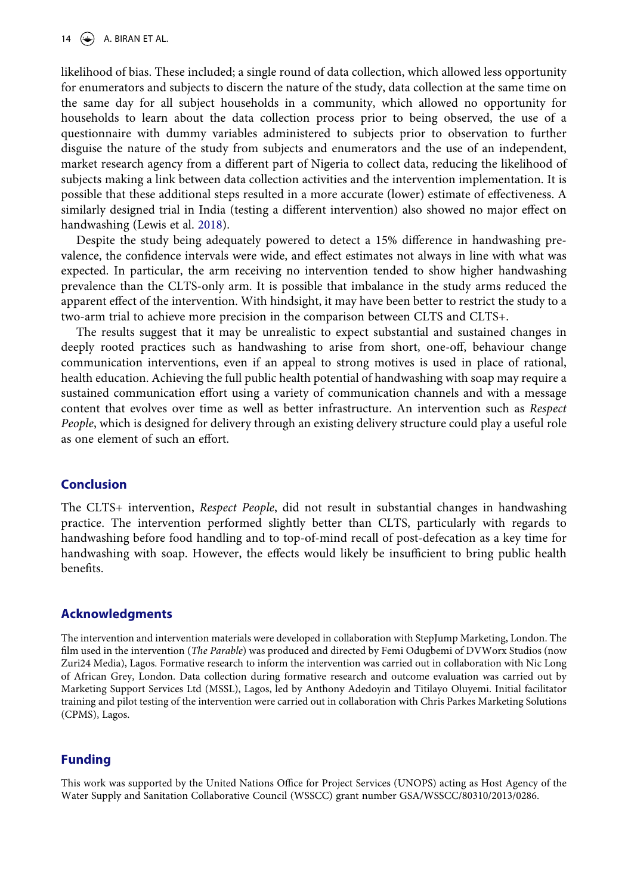likelihood of bias. These included; a single round of data collection, which allowed less opportunity for enumerators and subjects to discern the nature of the study, data collection at the same time on the same day for all subject households in a community, which allowed no opportunity for households to learn about the data collection process prior to being observed, the use of a questionnaire with dummy variables administered to subjects prior to observation to further disguise the nature of the study from subjects and enumerators and the use of an independent, market research agency from a different part of Nigeria to collect data, reducing the likelihood of subjects making a link between data collection activities and the intervention implementation. It is possible that these additional steps resulted in a more accurate (lower) estimate of effectiveness. A similarly designed trial in India (testing a different intervention) also showed no major effect on handwashing (Lewis et al. [2018\)](#page-15-5).

Despite the study being adequately powered to detect a 15% difference in handwashing prevalence, the confidence intervals were wide, and effect estimates not always in line with what was expected. In particular, the arm receiving no intervention tended to show higher handwashing prevalence than the CLTS-only arm. It is possible that imbalance in the study arms reduced the apparent effect of the intervention. With hindsight, it may have been better to restrict the study to a two-arm trial to achieve more precision in the comparison between CLTS and CLTS+.

The results suggest that it may be unrealistic to expect substantial and sustained changes in deeply rooted practices such as handwashing to arise from short, one-off, behaviour change communication interventions, even if an appeal to strong motives is used in place of rational, health education. Achieving the full public health potential of handwashing with soap may require a sustained communication effort using a variety of communication channels and with a message content that evolves over time as well as better infrastructure. An intervention such as *Respect People*, which is designed for delivery through an existing delivery structure could play a useful role as one element of such an effort.

# **Conclusion**

The CLTS+ intervention, *Respect People*, did not result in substantial changes in handwashing practice. The intervention performed slightly better than CLTS, particularly with regards to handwashing before food handling and to top-of-mind recall of post-defecation as a key time for handwashing with soap. However, the effects would likely be insufficient to bring public health benefits.

#### **Acknowledgments**

The intervention and intervention materials were developed in collaboration with StepJump Marketing, London. The film used in the intervention (*The Parable*) was produced and directed by Femi Odugbemi of DVWorx Studios (now Zuri24 Media), Lagos. Formative research to inform the intervention was carried out in collaboration with Nic Long of African Grey, London. Data collection during formative research and outcome evaluation was carried out by Marketing Support Services Ltd (MSSL), Lagos, led by Anthony Adedoyin and Titilayo Oluyemi. Initial facilitator training and pilot testing of the intervention were carried out in collaboration with Chris Parkes Marketing Solutions (CPMS), Lagos.

#### **Funding**

This work was supported by the United Nations Office for Project Services (UNOPS) acting as Host Agency of the Water Supply and Sanitation Collaborative Council (WSSCC) grant number GSA/WSSCC/80310/2013/0286.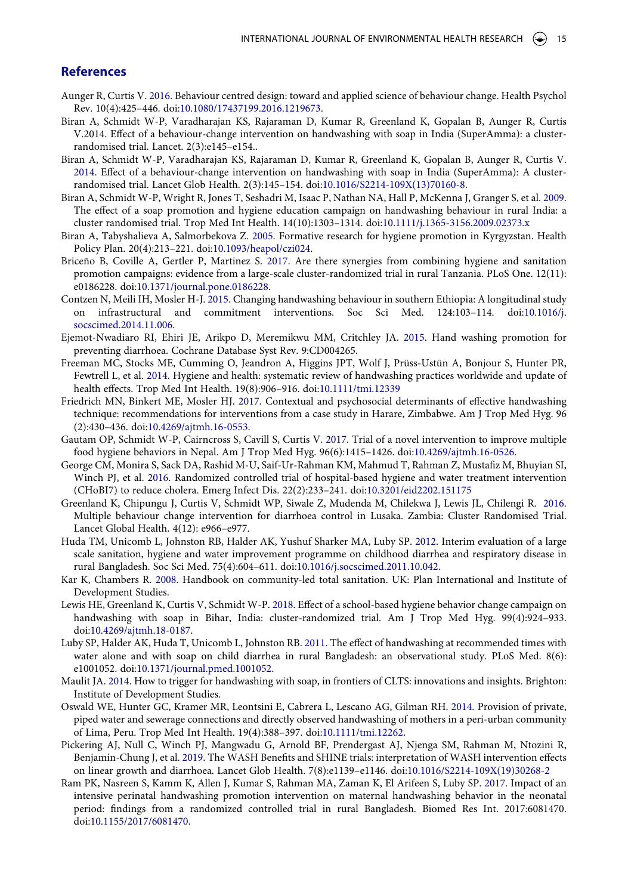#### **References**

- <span id="page-15-12"></span>Aunger R, Curtis V. [2016.](#page-3-0) Behaviour centred design: toward and applied science of behaviour change. Health Psychol Rev. 10(4):425–446. doi:[10.1080/17437199.2016.1219673](https://doi.org/10.1080/17437199.2016.1219673).
- <span id="page-15-11"></span>Biran A, Schmidt W-P, Varadharajan KS, Rajaraman D, Kumar R, Greenland K, Gopalan B, Aunger R, Curtis V.2014. Effect of a behaviour-change intervention on handwashing with soap in India (SuperAmma): a clusterrandomised trial. Lancet. 2(3):e145–e154..
- <span id="page-15-6"></span>Biran A, Schmidt W-P, Varadharajan KS, Rajaraman D, Kumar R, Greenland K, Gopalan B, Aunger R, Curtis V. [2014](#page-2-0). Effect of a behaviour-change intervention on handwashing with soap in India (SuperAmma): A clusterrandomised trial. Lancet Glob Health. 2(3):145–154. doi:[10.1016/S2214-109X\(13\)70160-8](https://doi.org/10.1016/S2214-109X(13)70160-8).
- <span id="page-15-18"></span>Biran A, Schmidt W-P, Wright R, Jones T, Seshadri M, Isaac P, Nathan NA, Hall P, McKenna J, Granger S, et al. [2009](#page-13-0). The effect of a soap promotion and hygiene education campaign on handwashing behaviour in rural India: a cluster randomised trial. Trop Med Int Health. 14(10):1303–1314. doi:[10.1111/j.1365-3156.2009.02373.x](https://doi.org/10.1111/j.1365-3156.2009.02373.x)
- <span id="page-15-17"></span>Biran A, Tabyshalieva A, Salmorbekova Z. [2005.](#page-13-0) Formative research for hygiene promotion in Kyrgyzstan. Health Policy Plan. 20(4):213–221. doi:[10.1093/heapol/czi024.](https://doi.org/10.1093/heapol/czi024)
- <span id="page-15-2"></span>Briceño B, Coville A, Gertler P, Martinez S. [2017](#page-1-2). Are there synergies from combining hygiene and sanitation promotion campaigns: evidence from a large-scale cluster-randomized trial in rural Tanzania. PLoS One. 12(11): e0186228. doi:[10.1371/journal.pone.0186228.](https://doi.org/10.1371/journal.pone.0186228)
- <span id="page-15-9"></span>Contzen N, Meili IH, Mosler H-J. [2015.](#page-2-1) Changing handwashing behaviour in southern Ethiopia: A longitudinal study on infrastructural and commitment interventions. Soc Sci Med. 124:103–114. doi:[10.1016/j.](https://doi.org/10.1016/j.socscimed.2014.11.006) [socscimed.2014.11.006.](https://doi.org/10.1016/j.socscimed.2014.11.006)
- <span id="page-15-1"></span>Ejemot-Nwadiaro RI, Ehiri JE, Arikpo D, Meremikwu MM, Critchley JA. [2015.](#page-1-3) Hand washing promotion for preventing diarrhoea. Cochrane Database Syst Rev. 9:CD004265.
- <span id="page-15-0"></span>Freeman MC, Stocks ME, Cumming O, Jeandron A, Higgins JPT, Wolf J, Prüss-Ustün A, Bonjour S, Hunter PR, Fewtrell L, et al. [2014.](#page-1-3) Hygiene and health: systematic review of handwashing practices worldwide and update of health effects. Trop Med Int Health. 19(8):906–916. doi:[10.1111/tmi.12339](https://doi.org/10.1111/tmi.12339)
- <span id="page-15-19"></span>Friedrich MN, Binkert ME, Mosler HJ. [2017.](#page-13-0) Contextual and psychosocial determinants of effective handwashing technique: recommendations for interventions from a case study in Harare, Zimbabwe. Am J Trop Med Hyg. 96 (2):430–436. doi:[10.4269/ajtmh.16-0553.](https://doi.org/10.4269/ajtmh.16-0553)
- <span id="page-15-7"></span>Gautam OP, Schmidt W-P, Cairncross S, Cavill S, Curtis V. [2017](#page-2-2). Trial of a novel intervention to improve multiple food hygiene behaviors in Nepal. Am J Trop Med Hyg. 96(6):1415–1426. doi:[10.4269/ajtmh.16-0526](https://doi.org/10.4269/ajtmh.16-0526).
- <span id="page-15-8"></span>George CM, Monira S, Sack DA, Rashid M-U, Saif-Ur-Rahman KM, Mahmud T, Rahman Z, Mustafiz M, Bhuyian SI, Winch PJ, et al. [2016](#page-2-2). Randomized controlled trial of hospital-based hygiene and water treatment intervention (CHoBI7) to reduce cholera. Emerg Infect Dis. 22(2):233–241. doi:[10.3201/eid2202.151175](https://doi.org/10.3201/eid2202.151175)
- <span id="page-15-15"></span>Greenland K, Chipungu J, Curtis V, Schmidt WP, Siwale Z, Mudenda M, Chilekwa J, Lewis JL, Chilengi R. [2016](#page-13-1). Multiple behaviour change intervention for diarrhoea control in Lusaka. Zambia: Cluster Randomised Trial. Lancet Global Health. 4(12): e966–e977.
- <span id="page-15-4"></span>Huda TM, Unicomb L, Johnston RB, Halder AK, Yushuf Sharker MA, Luby SP. [2012.](#page-1-2) Interim evaluation of a large scale sanitation, hygiene and water improvement programme on childhood diarrhea and respiratory disease in rural Bangladesh. Soc Sci Med. 75(4):604–611. doi:[10.1016/j.socscimed.2011.10.042](https://doi.org/10.1016/j.socscimed.2011.10.042).
- <span id="page-15-13"></span>Kar K, Chambers R. [2008.](#page-3-1) Handbook on community-led total sanitation. UK: Plan International and Institute of Development Studies.
- <span id="page-15-5"></span>Lewis HE, Greenland K, Curtis V, Schmidt W-P. [2018](#page-1-4). Effect of a school-based hygiene behavior change campaign on handwashing with soap in Bihar, India: cluster-randomized trial. Am J Trop Med Hyg. 99(4):924–933. doi:[10.4269/ajtmh.18-0187.](https://doi.org/10.4269/ajtmh.18-0187)
- <span id="page-15-14"></span>Luby SP, Halder AK, Huda T, Unicomb L, Johnston RB. [2011.](#page-12-1) The effect of handwashing at recommended times with water alone and with soap on child diarrhea in rural Bangladesh: an observational study. PLoS Med. 8(6): e1001052. doi:[10.1371/journal.pmed.1001052](https://doi.org/10.1371/journal.pmed.1001052).
- <span id="page-15-3"></span>Maulit JA. [2014.](#page-1-5) How to trigger for handwashing with soap, in frontiers of CLTS: innovations and insights. Brighton: Institute of Development Studies.
- <span id="page-15-20"></span>Oswald WE, Hunter GC, Kramer MR, Leontsini E, Cabrera L, Lescano AG, Gilman RH. [2014.](#page-13-2) Provision of private, piped water and sewerage connections and directly observed handwashing of mothers in a peri-urban community of Lima, Peru. Trop Med Int Health. 19(4):388–397. doi:[10.1111/tmi.12262.](https://doi.org/10.1111/tmi.12262)
- <span id="page-15-16"></span>Pickering AJ, Null C, Winch PJ, Mangwadu G, Arnold BF, Prendergast AJ, Njenga SM, Rahman M, Ntozini R, Benjamin-Chung J, et al. [2019.](#page-13-3) The WASH Benefits and SHINE trials: interpretation of WASH intervention effects on linear growth and diarrhoea. Lancet Glob Health. 7(8):e1139–e1146. doi:[10.1016/S2214-109X\(19\)30268-2](https://doi.org/10.1016/S2214-109X(19)30268-2)
- <span id="page-15-10"></span>Ram PK, Nasreen S, Kamm K, Allen J, Kumar S, Rahman MA, Zaman K, El Arifeen S, Luby SP. [2017](#page-2-1). Impact of an intensive perinatal handwashing promotion intervention on maternal handwashing behavior in the neonatal period: findings from a randomized controlled trial in rural Bangladesh. Biomed Res Int. 2017:6081470. doi:[10.1155/2017/6081470.](https://doi.org/10.1155/2017/6081470)